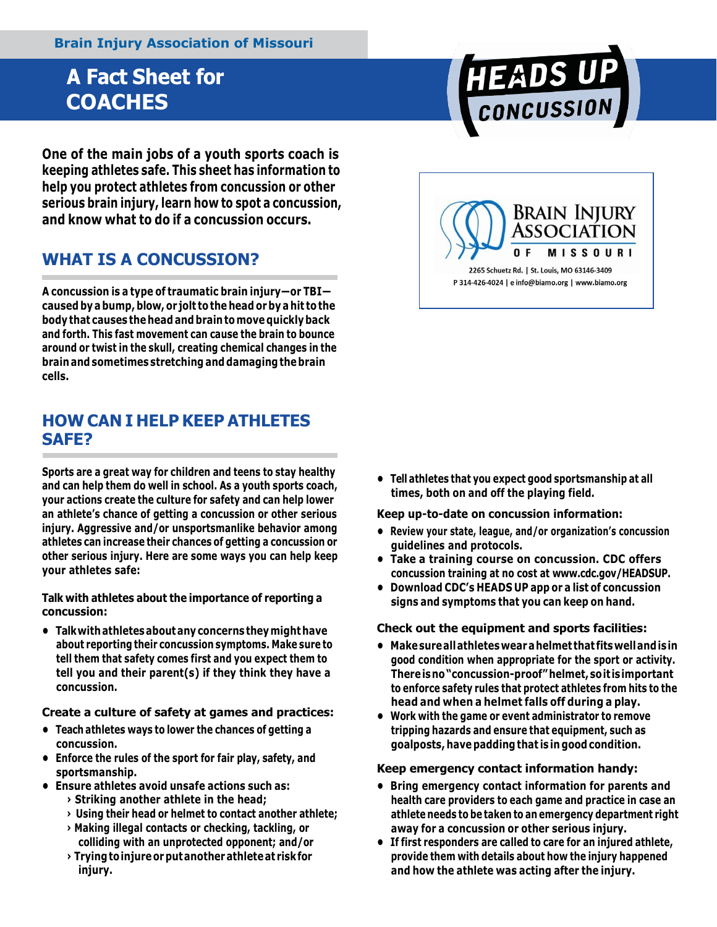# **A Fact Sheet for COACHES**

**One of the main jobs of a youth sports coach is keeping athletes safe. This sheet has information to help you protect athletes from concussion or other serious brain injury, learn how to spot a concussion, and know what to do if a concussion occurs.**

### **WHAT IS A CONCUSSION?**

**A concussion is a type of traumatic brain injury—or TBI caused byabump, blow, or jolt tothe head orby a hit tothe body that causes the head and brain tomovequicklyback and forth. This fast movement can cause the brain to bounce around or twist in the skull, creating chemical changes in the brain and sometimes stretching and damagingthebrain cells.**

### **HOW CAN I HELP KEEP ATHLETES SAFE?**

**Sports are a great way for children and teens to stay healthy and can help them do well in school. As a youth sports coach, your actions create the culture for safety and can help lower an athlete's chance of getting a concussion or other serious injury. Aggressive and/or unsportsmanlike behavior among athletes can increase their chances of getting a concussion or other serious injury. Here are some ways you can help keep your athletes safe:**

**Talk with athletes about the importance of reporting a concussion:**

**• Talkwithathletesaboutanyconcerns theymight have about reporting their concussion symptoms. Make sure to tell them that safety comes first and you expect them to tell you and their parent(s) if they think they have a concussion.**

**Create a culture of safety at games and practices:**

- **• Teach athletes ways to lower the chances of getting a concussion.**
- **• Enforce the rules of the sport for fair play, safety, and sportsmanship.**
- **• Ensure athletes avoid unsafe actions such as:**
	- **› Striking another athlete in the head;**
	- **› Using their head or helmet to contact another athlete;**
	- **› Making illegal contacts or checking, tackling, or colliding with an unprotected opponent; and/or**
	- **› Tryingtoinjureorputanotherathleteat riskfor injury.**

**• Tell athletes that you expect good sportsmanship at all times, both on and off the playing field.**

**Keep up-to-date on concussion information:**

- **• Review your state, league, and/or organization's concussion guidelines and protocols.**
- **• Take a training course on concussion. CDC offers concussion training at no cost at [www.cdc.gov/HEADSUP.](http://www.cdc.gov/HEADSUP)**
- **• Download CDC's HEADS UP app or a list of concussion signs and symptoms that you can keep on hand.**

#### **Check out the equipment and sports facilities:**

- **• Makesureallathleteswearahelmet that fitswellandisin good condition when appropriate for the sport or activity. Thereisno"concussion-proof"helmet,soit isimportant to enforce safety rules that protect athletes from hits to the head and when a helmet falls off during a play.**
- **• Work with the game or event administrator to remove tripping hazards and ensure that equipment, such as goalposts, have padding that is in good condition.**

#### **Keep emergency contact information handy:**

- **• Bring emergency contact information for parents and health care providers to each game and practice in case an athlete needs to be taken to an emergency department right away for a concussion or other serious injury.**
- **• If first responders are called to care for an injured athlete, provide them with details about how the injury happened and how the athlete was acting after the injury.**



HEADS UP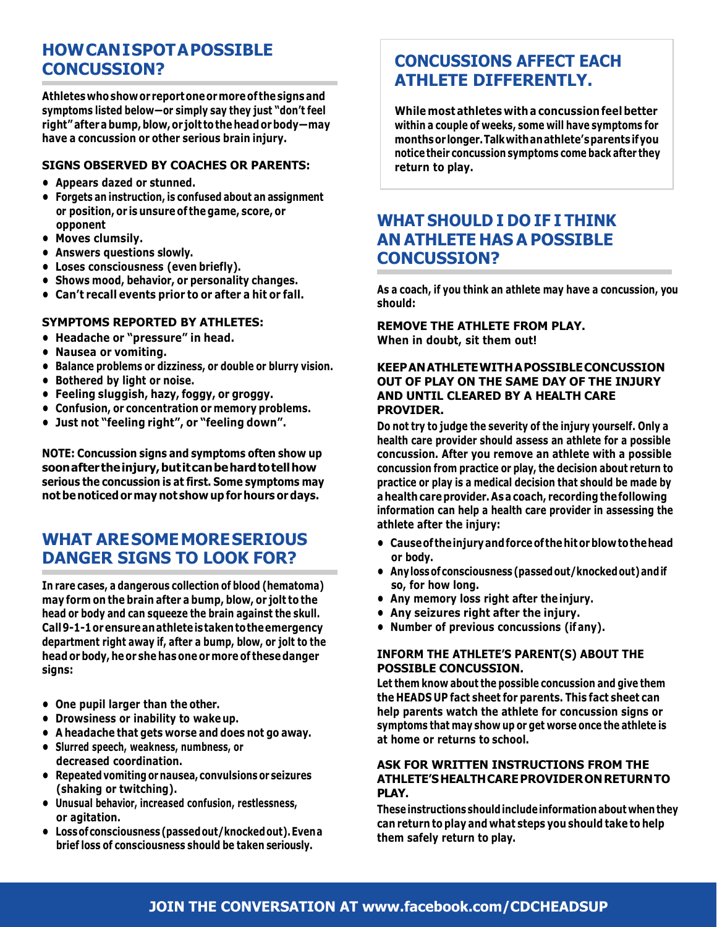## **HOWCANISPOTAPOSSIBLE CONCUSSION?**

**Athleteswhoshowor reportoneormoreof thesignsand symptoms listed below—or simply say they just "don't feel right"afterabump,blow,or jolt tothe headorbody—may have a concussion or other serious brain injury.**

#### **SIGNS OBSERVED BY COACHES OR PARENTS:**

- **• Appears dazed or stunned.**
- **• Forgets an instruction, is confused about an assignment or position, or is unsure of the game, score, or opponent**
- **• Moves clumsily.**
- **• Answers questions slowly.**
- **• Loses consciousness (even briefly).**
- **• Shows mood, behavior, or personality changes.**
- **• Can't recall events prior to or after a hit or fall.**

#### **SYMPTOMS REPORTED BY ATHLETES:**

- **• Headache or "pressure" in head.**
- **• Nausea or vomiting.**
- **• Balance problems or dizziness, or double or blurry vision.**
- **• Bothered by light or noise.**
- **• Feeling sluggish, hazy, foggy, or groggy.**
- **• Confusion, or concentration or memory problems.**
- **• Just not "feeling right", or "feeling down".**

**NOTE: Concussion signs and symptoms often show up soonafter theinjury,butitcanbehardtotellhow serious the concussion is at first. Some symptoms may not benoticed or may not show up for hours or days.**

### **WHAT ARESOMEMORESERIOUS DANGER SIGNS TO LOOK FOR?**

**In rare cases, a dangerous collection of blood (hematoma) may form on the brain after a bump, blow, or jolt to the head or body and can squeeze the brain against the skull. Call9-1-1orensureanathleteistakentotheemergency department right away if, after a bump, blow, or jolt to the head orbody, heor she has one ormore of thesedanger signs:**

- **• One pupil larger than the other.**
- **• Drowsiness or inability to wake up.**
- **• A headache that gets worse and does not go away.**
- **• Slurred speech, weakness, numbness, or decreased coordination.**
- **• Repeatedvomiting or nausea, convulsions or seizures (shaking or twitching).**
- **• Unusual behavior, increased confusion, restlessness, or agitation.**
- **• Lossofconsciousness (passedout/knockedout).Evena brief loss of consciousness should be taken seriously.**

### **CONCUSSIONS AFFECT EACH ATHLETE DIFFERENTLY.**

**While most athletes with a concussion feelbetter within a couple of weeks, some will have symptoms for monthsorlonger.Talkwithanathlete'sparentsifyou notice their concussion symptoms come back after they return to play.**

### **WHAT SHOULD I DO IF I THINK AN ATHLETE HAS A POSSIBLE CONCUSSION?**

**As a coach, if you think an athlete may have a concussion, you should:**

**REMOVE THE ATHLETE FROM PLAY. When in doubt, sit them out!**

#### **KEEPANATHLETEWITHAPOSSIBLECONCUSSION OUT OF PLAY ON THE SAME DAY OF THE INJURY AND UNTIL CLEARED BY A HEALTH CARE PROVIDER.**

**Do not try to judge the severity of the injury yourself. Only a health care provider should assess an athlete for a possible concussion. After you remove an athlete with a possible concussion from practice or play, the decision about return to practice or play is a medical decision that should be made by a health careprovider. Asa coach, recording thefollowing information can help a health care provider in assessing the athlete after the injury:**

- **• Causeof theinjuryandforceof the hitorblowtothehead or body.**
- **• Anylossofconsciousness (passedout/knockedout)andif so, for how long.**
- **• Any memory loss right after the injury.**
- **• Any seizures right after the injury.**
- **• Number of previous concussions (ifany).**

#### **INFORM THE ATHLETE'S PARENT(S) ABOUT THE POSSIBLE CONCUSSION.**

**Let them know about the possible concussion and give them the HEADS UP fact sheet for parents. This fact sheet can help parents watch the athlete for concussion signs or symptoms that may show up or get worse once the athlete is at home or returns to school.**

#### **ASK FOR WRITTEN INSTRUCTIONS FROM THE ATHLETE'SHEALTHCAREPROVIDERONRETURNTO PLAY.**

**These instructions shouldincludeinformation about when they can return to play and what steps you should take to help them safely return to play.**